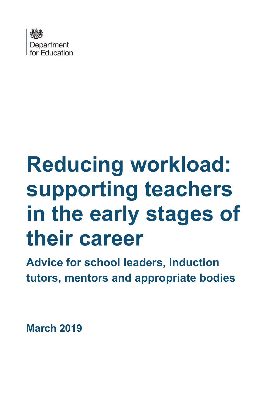

# **Reducing workload: supporting teachers in the early stages of their career**

**Advice for school leaders, induction tutors, mentors and appropriate bodies**

**March 2019**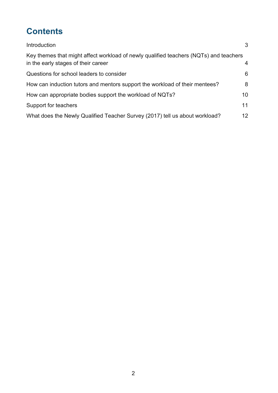# **Contents**

| Introduction                                                                                                                 | 3                 |
|------------------------------------------------------------------------------------------------------------------------------|-------------------|
| Key themes that might affect workload of newly qualified teachers (NQTs) and teachers<br>in the early stages of their career | 4                 |
| Questions for school leaders to consider                                                                                     | 6                 |
| How can induction tutors and mentors support the workload of their mentees?                                                  | 8                 |
| How can appropriate bodies support the workload of NQTs?                                                                     | 10                |
| Support for teachers                                                                                                         | 11                |
| What does the Newly Qualified Teacher Survey (2017) tell us about workload?                                                  | $12 \overline{ }$ |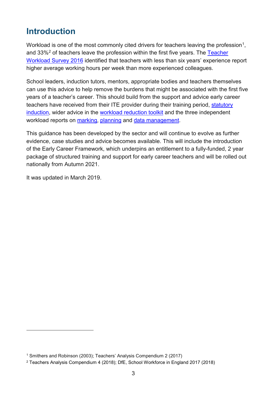# <span id="page-2-0"></span>**Introduction**

Workload is one of the most commonly cited drivers for teachers leaving the profession<sup>[1](#page-2-1)</sup>. and 33%<sup>[2](#page-2-2)</sup> of teachers leave the profession within the first five years. The Teacher [Workload Survey 2016](https://www.gov.uk/government/publications/teacher-workload-survey-2016) identified that teachers with less than six years' experience report higher average working hours per week than more experienced colleagues.

School leaders, induction tutors, mentors, appropriate bodies and teachers themselves can use this advice to help remove the burdens that might be associated with the first five years of a teacher's career. This should build from the support and advice early career teachers have received from their ITE provider during their training period, [statutory](https://www.gov.uk/government/publications/induction-for-newly-qualified-teachers-nqts)  [induction,](https://www.gov.uk/government/publications/induction-for-newly-qualified-teachers-nqts) wider advice in the [workload reduction toolkit](https://www.gov.uk/guidance/reducing-workload-in-your-school) and the three independent workload reports on [marking,](https://www.gov.uk/government/publications/reducing-teacher-workload-marking-policy-review-group-report) [planning](https://www.gov.uk/government/publications/reducing-teacher-workload-planning-and-resources-group-report) and [data management.](https://www.gov.uk/government/publications/reducing-teacher-workload-data-management-review-group-report)

This guidance has been developed by the sector and will continue to evolve as further evidence, case studies and advice becomes available. This will include the introduction of the Early Career Framework, which underpins an entitlement to a fully-funded, 2 year package of structured training and support for early career teachers and will be rolled out nationally from Autumn 2021.

It was updated in March 2019.

-

<span id="page-2-1"></span><sup>1</sup> Smithers and Robinson (2003); Teachers' Analysis Compendium 2 (2017)

<span id="page-2-2"></span><sup>2</sup> Teachers Analysis Compendium 4 (2018); DfE, School Workforce in England 2017 (2018)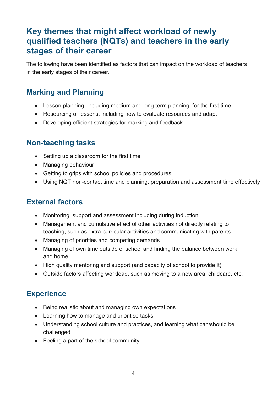# <span id="page-3-0"></span>**Key themes that might affect workload of newly qualified teachers (NQTs) and teachers in the early stages of their career**

The following have been identified as factors that can impact on the workload of teachers in the early stages of their career.

### **Marking and Planning**

- Lesson planning, including medium and long term planning, for the first time
- Resourcing of lessons, including how to evaluate resources and adapt
- Developing efficient strategies for marking and feedback

#### **Non-teaching tasks**

- Setting up a classroom for the first time
- Managing behaviour
- Getting to grips with school policies and procedures
- Using NQT non-contact time and planning, preparation and assessment time effectively

#### **External factors**

- Monitoring, support and assessment including during induction
- Management and cumulative effect of other activities not directly relating to teaching, such as extra-curricular activities and communicating with parents
- Managing of priorities and competing demands
- Managing of own time outside of school and finding the balance between work and home
- High quality mentoring and support (and capacity of school to provide it)
- Outside factors affecting workload, such as moving to a new area, childcare, etc.

#### **Experience**

- Being realistic about and managing own expectations
- Learning how to manage and prioritise tasks
- Understanding school culture and practices, and learning what can/should be challenged
- Feeling a part of the school community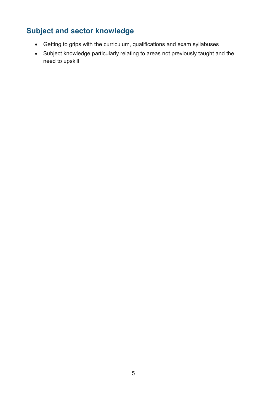# **Subject and sector knowledge**

- Getting to grips with the curriculum, qualifications and exam syllabuses
- Subject knowledge particularly relating to areas not previously taught and the need to upskill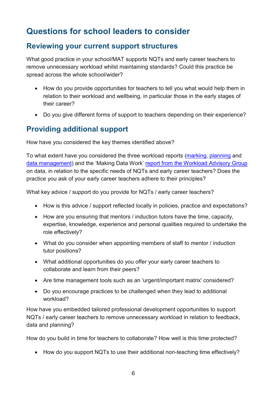# <span id="page-5-0"></span>**Questions for school leaders to consider**

#### **Reviewing your current support structures**

What good practice in your school/MAT supports NQTs and early career teachers to remove unnecessary workload whilst maintaining standards? Could this practice be spread across the whole school/wider?

- How do you provide opportunities for teachers to tell you what would help them in relation to their workload and wellbeing, in particular those in the early stages of their career?
- Do you give different forms of support to teachers depending on their experience?

#### **Providing additional support**

How have you considered the key themes identified above?

To what extent have you considered the three workload reports [\(marking,](https://www.gov.uk/government/publications/reducing-teacher-workload-marking-policy-review-group-report) [planning](https://www.gov.uk/government/publications/reducing-teacher-workload-planning-and-resources-group-report) and [data management\)](https://www.gov.uk/government/publications/reducing-teacher-workload-data-management-review-group-report) and the 'Making Data Work' [report from the Workload Advisory Group](https://www.gov.uk/government/publications/teacher-workload-advisory-group-report-and-government-response) on data, in relation to the specific needs of NQTs and early career teachers? Does the practice you ask of your early career teachers adhere to their principles?

What key advice / support do you provide for NQTs / early career teachers?

- How is this advice / support reflected locally in policies, practice and expectations?
- How are you ensuring that mentors / induction tutors have the time, capacity, expertise, knowledge, experience and personal qualities required to undertake the role effectively?
- What do you consider when appointing members of staff to mentor / induction tutor positions?
- What additional opportunities do you offer your early career teachers to collaborate and learn from their peers?
- Are time management tools such as an 'urgent/important matrix' considered?
- Do you encourage practices to be challenged when they lead to additional workload?

How have you embedded tailored professional development opportunities to support NQTs / early career teachers to remove unnecessary workload in relation to feedback, data and planning?

How do you build in time for teachers to collaborate? How well is this time protected?

• How do you support NQTs to use their additional non-teaching time effectively?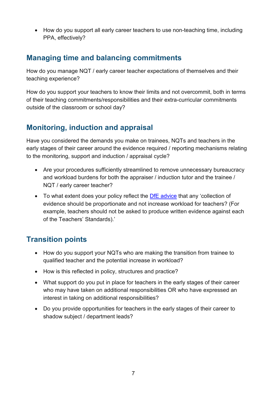• How do you support all early career teachers to use non-teaching time, including PPA, effectively?

### **Managing time and balancing commitments**

How do you manage NQT / early career teacher expectations of themselves and their teaching experience?

How do you support your teachers to know their limits and not overcommit, both in terms of their teaching commitments/responsibilities and their extra-curricular commitments outside of the classroom or school day?

## **Monitoring, induction and appraisal**

Have you considered the demands you make on trainees, NQTs and teachers in the early stages of their career around the evidence required / reporting mechanisms relating to the monitoring, support and induction / appraisal cycle?

- Are your procedures sufficiently streamlined to remove unnecessary bureaucracy and workload burdens for both the appraiser / induction tutor and the trainee / NQT / early career teacher?
- To what extent does your policy reflect the **DfE** advice that any 'collection of evidence should be proportionate and not increase workload for teachers? (For example, teachers should not be asked to produce written evidence against each of the Teachers' Standards).'

## **Transition points**

- How do you support your NQTs who are making the transition from trainee to qualified teacher and the potential increase in workload?
- How is this reflected in policy, structures and practice?
- What support do you put in place for teachers in the early stages of their career who may have taken on additional responsibilities OR who have expressed an interest in taking on additional responsibilities?
- Do you provide opportunities for teachers in the early stages of their career to shadow subject / department leads?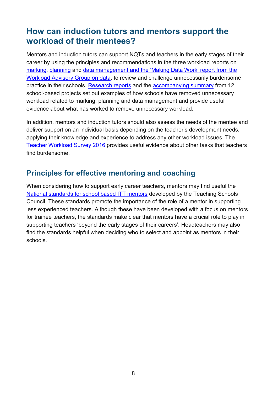# <span id="page-7-0"></span>**How can induction tutors and mentors support the workload of their mentees?**

Mentors and induction tutors can support NQTs and teachers in the early stages of their career by using the principles and recommendations in the three workload reports on [marking,](https://www.gov.uk/government/publications/reducing-teacher-workload-marking-policy-review-group-report) [planning](https://www.gov.uk/government/publications/reducing-teacher-workload-planning-and-resources-group-report) and [data management](https://www.gov.uk/government/publications/reducing-teacher-workload-data-management-review-group-report) and the 'Making Data Work' [report from the](https://www.gov.uk/government/publications/teacher-workload-advisory-group-report-and-government-response)  [Workload Advisory Group](https://www.gov.uk/government/publications/teacher-workload-advisory-group-report-and-government-response) on data, to review and challenge unnecessarily burdensome practice in their schools. [Research reports](https://www.gov.uk/government/publications/teacher-workload-challenge-school-research-project-reports) and the [accompanying summary](https://www.gov.uk/government/publications/workload-challenge-research-projects-summary-report-2018) from [12](https://www.gov.uk/government/publications/reducing-teachers-workload/reducing-teachers-workload)  [school-based projects](https://www.gov.uk/government/publications/reducing-teachers-workload/reducing-teachers-workload) set out examples of how schools have removed unnecessary workload related to marking, planning and data management and provide useful evidence about what has worked to remove unnecessary workload.

In addition, mentors and induction tutors should also assess the needs of the mentee and deliver support on an individual basis depending on the teacher's development needs, applying their knowledge and experience to address any other workload issues. The [Teacher Workload Survey 2016](https://www.gov.uk/government/publications/teacher-workload-survey-2016) provides useful evidence about other tasks that teachers find burdensome.

#### **Principles for effective mentoring and coaching**

When considering how to support early career teachers, mentors may find useful the [National standards for school based ITT mentors](https://assets.publishing.service.gov.uk/government/uploads/system/uploads/attachment_data/file/536891/Mentor_standards_report_Final.pdf) developed by the Teaching Schools Council. These standards promote the importance of the role of a mentor in supporting less experienced teachers. Although these have been developed with a focus on mentors for trainee teachers, the standards make clear that mentors have a crucial role to play in supporting teachers 'beyond the early stages of their careers'. Headteachers may also find the standards helpful when deciding who to select and appoint as mentors in their schools.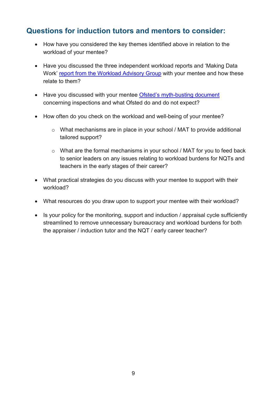#### **Questions for induction tutors and mentors to consider:**

- How have you considered the key themes identified above in relation to the workload of your mentee?
- Have you discussed the three independent workload reports and 'Making Data Work' [report from the Workload Advisory Group](https://www.gov.uk/government/publications/teacher-workload-advisory-group-report-and-government-response) with your mentee and how these relate to them?
- Have you discussed with your mentee [Ofsted's myth-busting document](https://www.gov.uk/government/publications/school-inspection-handbook-from-september-2015/ofsted-inspections-mythbusting) concerning inspections and what Ofsted do and do not expect?
- How often do you check on the workload and well-being of your mentee?
	- o What mechanisms are in place in your school / MAT to provide additional tailored support?
	- o What are the formal mechanisms in your school / MAT for you to feed back to senior leaders on any issues relating to workload burdens for NQTs and teachers in the early stages of their career?
- What practical strategies do you discuss with your mentee to support with their workload?
- What resources do you draw upon to support your mentee with their workload?
- Is your policy for the monitoring, support and induction / appraisal cycle sufficiently streamlined to remove unnecessary bureaucracy and workload burdens for both the appraiser / induction tutor and the NQT / early career teacher?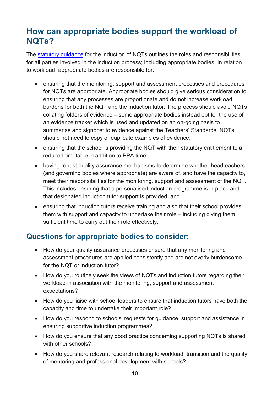# <span id="page-9-0"></span>**How can appropriate bodies support the workload of NQTs?**

The [statutory guidance](https://www.gov.uk/government/publications/induction-for-newly-qualified-teachers-nqts) for the induction of NQTs outlines the roles and responsibilities for all parties involved in the induction process; including appropriate bodies. In relation to workload, appropriate bodies are responsible for:

- ensuring that the monitoring, support and assessment processes and procedures for NQTs are appropriate. Appropriate bodies should give serious consideration to ensuring that any processes are proportionate and do not increase workload burdens for both the NQT and the induction tutor. The process should avoid NQTs collating folders of evidence – some appropriate bodies instead opt for the use of an evidence tracker which is used and updated on an on-going basis to summarise and signpost to evidence against the Teachers' Standards. NQTs should not need to copy or duplicate examples of evidence;
- ensuring that the school is providing the NQT with their statutory entitlement to a reduced timetable in addition to PPA time;
- having robust quality assurance mechanisms to determine whether headteachers (and governing bodies where appropriate) are aware of, and have the capacity to, meet their responsibilities for the monitoring, support and assessment of the NQT. This includes ensuring that a personalised induction programme is in place and that designated induction tutor support is provided; and
- ensuring that induction tutors receive training and also that their school provides them with support and capacity to undertake their role – including giving them sufficient time to carry out their role effectively.

#### **Questions for appropriate bodies to consider:**

- How do your quality assurance processes ensure that any monitoring and assessment procedures are applied consistently and are not overly burdensome for the NQT or induction tutor?
- How do you routinely seek the views of NQTs and induction tutors regarding their workload in association with the monitoring, support and assessment expectations?
- How do you liaise with school leaders to ensure that induction tutors have both the capacity and time to undertake their important role?
- How do you respond to schools' requests for guidance, support and assistance in ensuring supportive induction programmes?
- How do you ensure that any good practice concerning supporting NQTs is shared with other schools?
- How do you share relevant research relating to workload, transition and the quality of mentoring and professional development with schools?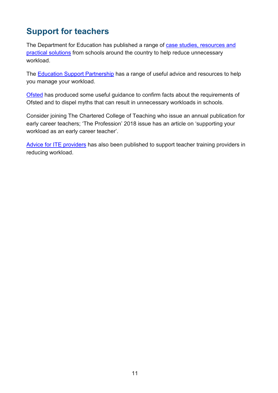# <span id="page-10-0"></span>**Support for teachers**

The Department for Education has published a range of [case studies, resources and](https://www.gov.uk/government/publications/reducing-teachers-workload/reducing-teachers-workload)  [practical solutions](https://www.gov.uk/government/publications/reducing-teachers-workload/reducing-teachers-workload) from schools around the country to help reduce unnecessary workload.

The [Education Support Partnership](https://www.educationsupportpartnership.org.uk/helping-you/information-advice/managing-workload) has a range of useful advice and resources to help you manage your workload.

[Ofsted](https://www.gov.uk/government/publications/school-inspection-handbook-from-september-2015/ofsted-inspections-mythbusting) has produced some useful guidance to confirm facts about the requirements of Ofsted and to dispel myths that can result in unnecessary workloads in schools.

Consider joining The Chartered College of Teaching who issue an annual publication for early career teachers; 'The Profession' 2018 issue has an article on 'supporting your workload as an early career teacher'.

[Advice for ITE providers](https://www.gov.uk/government/publications/addressing-workload-in-initial-teacher-education-ite) has also been published to support teacher training providers in reducing workload.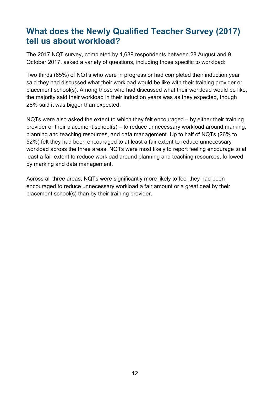# <span id="page-11-0"></span>**What does the Newly Qualified Teacher Survey (2017) tell us about workload?**

The 2017 NQT survey, completed by 1,639 respondents between 28 August and 9 October 2017, asked a variety of questions, including those specific to workload:

Two thirds (65%) of NQTs who were in progress or had completed their induction year said they had discussed what their workload would be like with their training provider or placement school(s). Among those who had discussed what their workload would be like, the majority said their workload in their induction years was as they expected, though 28% said it was bigger than expected.

NQTs were also asked the extent to which they felt encouraged – by either their training provider or their placement school(s) – to reduce unnecessary workload around marking, planning and teaching resources, and data management. Up to half of NQTs (26% to 52%) felt they had been encouraged to at least a fair extent to reduce unnecessary workload across the three areas. NQTs were most likely to report feeling encourage to at least a fair extent to reduce workload around planning and teaching resources, followed by marking and data management.

Across all three areas, NQTs were significantly more likely to feel they had been encouraged to reduce unnecessary workload a fair amount or a great deal by their placement school(s) than by their training provider.